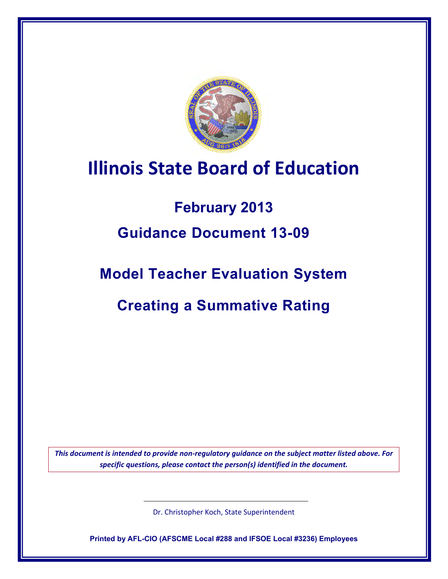

# **Illinois State Board of Education**

## **February 2013**

## **Guidance Document 13-09**

## **Model Teacher Evaluation System**

## **Creating a Summative Rating**

*This document is intended to provide non-regulatory guidance on the subject matter listed above. For specific questions, please contact the person(s) identified in the document.*

Dr. Christopher Koch, State Superintendent

**Printed by AFL-CIO (AFSCME Local #288 and IFSOE Local #3236) Employees**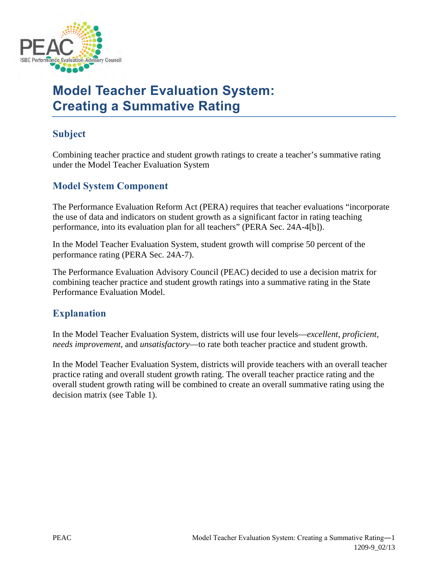

### **Model Teacher Evaluation System: Creating a Summative Rating**

### **Subject**

Combining teacher practice and student growth ratings to create a teacher's summative rating under the Model Teacher Evaluation System

### **Model System Component**

The Performance Evaluation Reform Act (PERA) requires that teacher evaluations "incorporate the use of data and indicators on student growth as a significant factor in rating teaching performance, into its evaluation plan for all teachers" (PERA Sec. 24A-4[b]).

In the Model Teacher Evaluation System, student growth will comprise 50 percent of the performance rating (PERA Sec. 24A-7).

The Performance Evaluation Advisory Council (PEAC) decided to use a decision matrix for combining teacher practice and student growth ratings into a summative rating in the State Performance Evaluation Model.

### **Explanation**

In the Model Teacher Evaluation System, districts will use four levels—*excellent*, *proficient*, *needs improvement*, and *unsatisfactory*—to rate both teacher practice and student growth.

In the Model Teacher Evaluation System, districts will provide teachers with an overall teacher practice rating and overall student growth rating. The overall teacher practice rating and the overall student growth rating will be combined to create an overall summative rating using the decision matrix (see Table 1).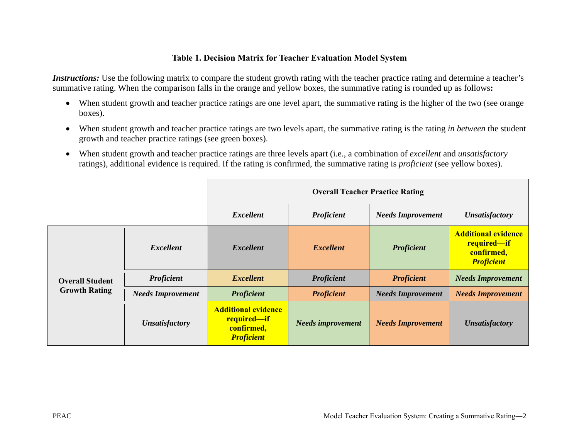#### **Table 1. Decision Matrix for Teacher Evaluation Model System**

*Instructions:* Use the following matrix to compare the student growth rating with the teacher practice rating and determine a teacher's summative rating. When the comparison falls in the orange and yellow boxes, the summative rating is rounded up as follows**:** 

- When student growth and teacher practice ratings are one level apart, the summative rating is the higher of the two (see orange boxes).
- When student growth and teacher practice ratings are two levels apart, the summative rating is the rating *in between* the student growth and teacher practice ratings (see green boxes).
- When student growth and teacher practice ratings are three levels apart (i.e., a combination of *excellent* and *unsatisfactory* ratings), additional evidence is required. If the rating is confirmed, the summative rating is *proficient* (see yellow boxes).

|                                                |                          | <b>Overall Teacher Practice Rating</b>                                       |                          |                          |                                                                              |
|------------------------------------------------|--------------------------|------------------------------------------------------------------------------|--------------------------|--------------------------|------------------------------------------------------------------------------|
|                                                |                          | <b>Excellent</b>                                                             | Proficient               | <b>Needs Improvement</b> | <b>Unsatisfactory</b>                                                        |
| <b>Overall Student</b><br><b>Growth Rating</b> | <i>Excellent</i>         | <i>Excellent</i>                                                             | <b>Excellent</b>         | <b>Proficient</b>        | <b>Additional evidence</b><br>required-if<br>confirmed,<br><b>Proficient</b> |
|                                                | <b>Proficient</b>        | <b>Excellent</b>                                                             | <b>Proficient</b>        | <b>Proficient</b>        | <b>Needs Improvement</b>                                                     |
|                                                | <b>Needs Improvement</b> | <b>Proficient</b>                                                            | <b>Proficient</b>        | <b>Needs Improvement</b> | <b>Needs Improvement</b>                                                     |
|                                                | <b>Unsatisfactory</b>    | <b>Additional evidence</b><br>required-if<br>confirmed,<br><b>Proficient</b> | <b>Needs improvement</b> | <b>Needs Improvement</b> | <b>Unsatisfactory</b>                                                        |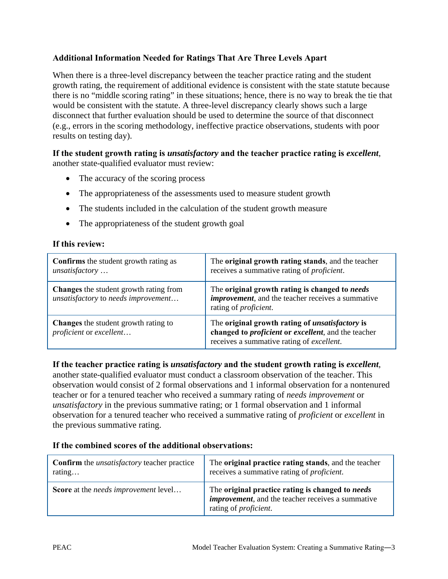#### **Additional Information Needed for Ratings That Are Three Levels Apart**

When there is a three-level discrepancy between the teacher practice rating and the student growth rating, the requirement of additional evidence is consistent with the state statute because there is no "middle scoring rating" in these situations; hence, there is no way to break the tie that would be consistent with the statute. A three-level discrepancy clearly shows such a large disconnect that further evaluation should be used to determine the source of that disconnect (e.g., errors in the scoring methodology, ineffective practice observations, students with poor results on testing day).

#### **If the student growth rating is** *unsatisfactory* **and the teacher practice rating is** *excellent*, another state-qualified evaluator must review:

- The accuracy of the scoring process
- The appropriateness of the assessments used to measure student growth
- The students included in the calculation of the student growth measure
- The appropriateness of the student growth goal

#### **If this review:**

| <b>Confirms</b> the student growth rating as<br>unsatisfactory                       | The original growth rating stands, and the teacher<br>receives a summative rating of <i>proficient</i> .                                                                  |
|--------------------------------------------------------------------------------------|---------------------------------------------------------------------------------------------------------------------------------------------------------------------------|
| <b>Changes</b> the student growth rating from<br>unsatisfactory to needs improvement | The original growth rating is changed to needs<br><i>improvement</i> , and the teacher receives a summative<br>rating of <i>proficient</i> .                              |
| <b>Changes</b> the student growth rating to<br>proficient or excellent               | The original growth rating of <i>unsatisfactory</i> is<br>changed to <i>proficient</i> or <i>excellent</i> , and the teacher<br>receives a summative rating of excellent. |

#### **If the teacher practice rating is** *unsatisfactory* **and the student growth rating is** *excellent*,

another state-qualified evaluator must conduct a classroom observation of the teacher. This observation would consist of 2 formal observations and 1 informal observation for a nontenured teacher or for a tenured teacher who received a summary rating of *needs improvement* or *unsatisfactory* in the previous summative rating; or 1 formal observation and 1 informal observation for a tenured teacher who received a summative rating of *proficient* or *excellent* in the previous summative rating.

#### **If the combined scores of the additional observations:**

| <b>Confirm</b> the <i>unsatisfactory</i> teacher practice | The original practice rating stands, and the teacher                                                                                           |
|-----------------------------------------------------------|------------------------------------------------------------------------------------------------------------------------------------------------|
| rating                                                    | receives a summative rating of <i>proficient</i> .                                                                                             |
| Score at the needs improvement level                      | The original practice rating is changed to needs<br><i>improvement</i> , and the teacher receives a summative<br>rating of <i>proficient</i> . |